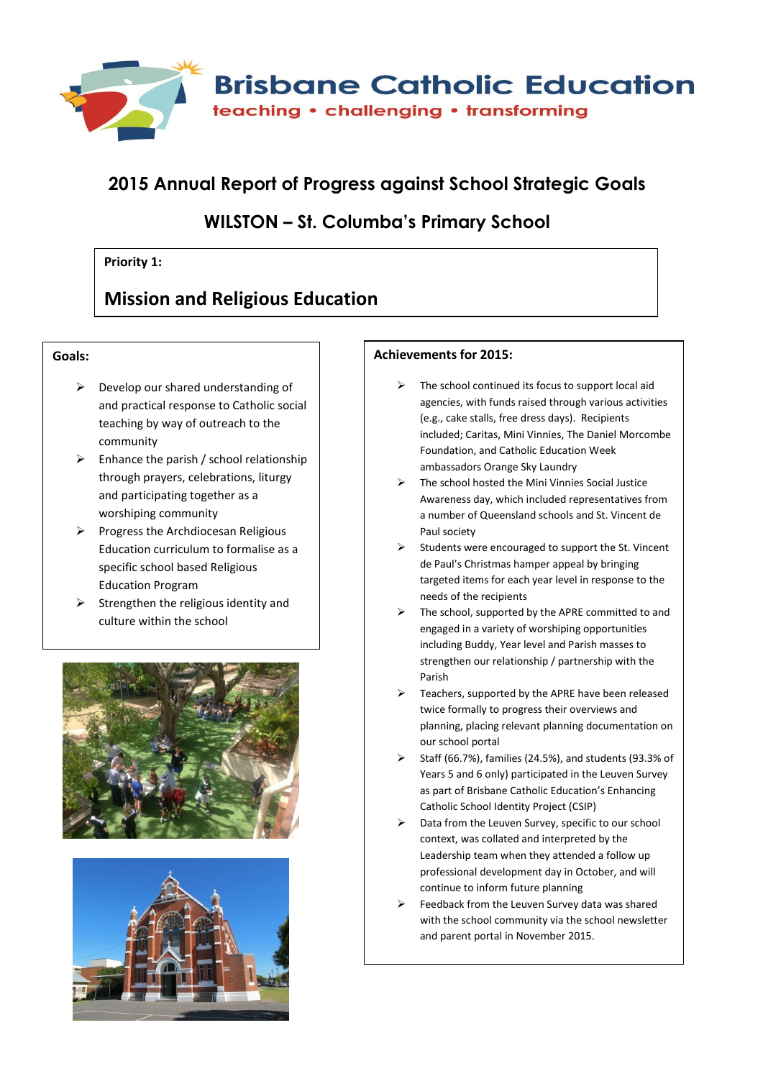

# **2015 Annual Report of Progress against School Strategic Goals**

### **WILSTON – St. Columba's Primary School**

### **Priority 1:**

## **Mission and Religious Education**

### **Goals:**

- $\triangleright$  Develop our shared understanding of and practical response to Catholic social teaching by way of outreach to the community
- $\triangleright$  Enhance the parish / school relationship through prayers, celebrations, liturgy and participating together as a worshiping community
- $\triangleright$  Progress the Archdiocesan Religious Education curriculum to formalise as a specific school based Religious Education Program
- $\triangleright$  Strengthen the religious identity and culture within the school





#### **Achievements for 2015:**

- The school continued its focus to support local aid agencies, with funds raised through various activities (e.g., cake stalls, free dress days). Recipients included; Caritas, Mini Vinnies, The Daniel Morcombe Foundation, and Catholic Education Week ambassadors Orange Sky Laundry
- The school hosted the Mini Vinnies Social Justice Awareness day, which included representatives from a number of Queensland schools and St. Vincent de Paul society
- $\triangleright$  Students were encouraged to support the St. Vincent de Paul's Christmas hamper appeal by bringing targeted items for each year level in response to the needs of the recipients
- $\triangleright$  The school, supported by the APRE committed to and engaged in a variety of worshiping opportunities including Buddy, Year level and Parish masses to strengthen our relationship / partnership with the Parish
- $\triangleright$  Teachers, supported by the APRE have been released twice formally to progress their overviews and planning, placing relevant planning documentation on our school portal
- $\triangleright$  Staff (66.7%), families (24.5%), and students (93.3% of Years 5 and 6 only) participated in the Leuven Survey as part of Brisbane Catholic Education's Enhancing Catholic School Identity Project (CSIP)
- $\triangleright$  Data from the Leuven Survey, specific to our school context, was collated and interpreted by the Leadership team when they attended a follow up professional development day in October, and will continue to inform future planning
- $\triangleright$  Feedback from the Leuven Survey data was shared with the school community via the school newsletter and parent portal in November 2015.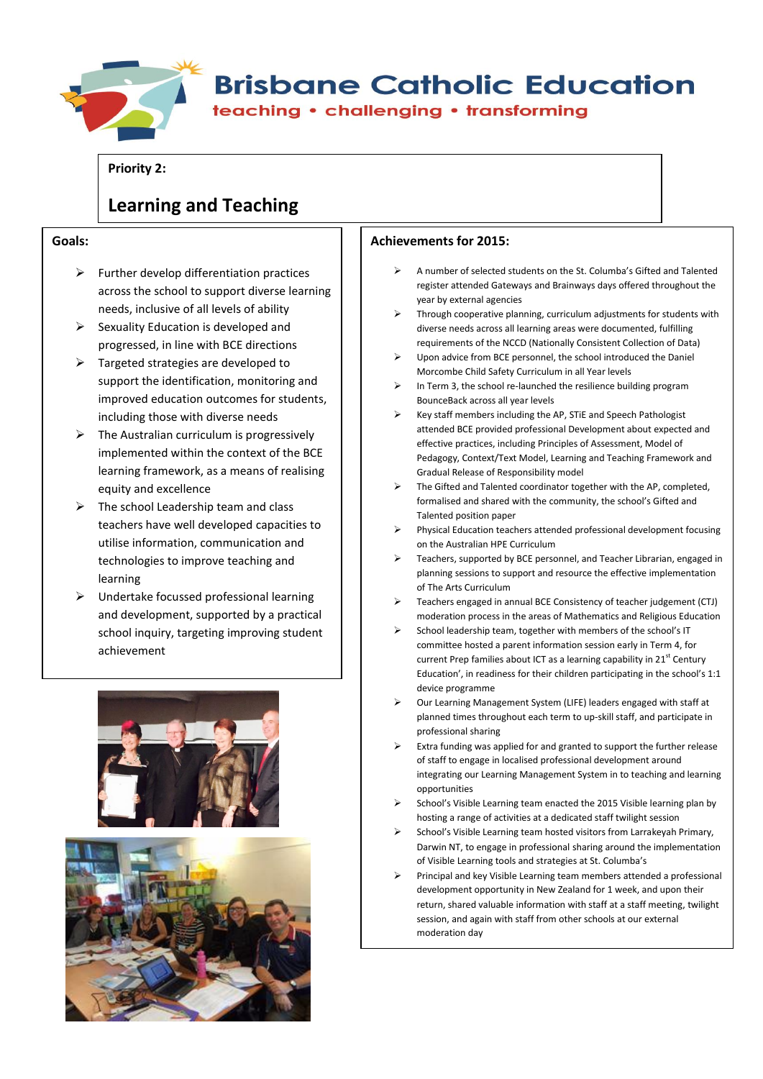

# **Brisbane Catholic Education**

teaching • challenging • transforming

**Priority 2:**

# **Learning and Teaching**

#### **Goals:**

- $\triangleright$  Further develop differentiation practices across the school to support diverse learning needs, inclusive of all levels of ability
- $\triangleright$  Sexuality Education is developed and progressed, in line with BCE directions
- $\triangleright$  Targeted strategies are developed to support the identification, monitoring and improved education outcomes for students, including those with diverse needs
- $\triangleright$  The Australian curriculum is progressively implemented within the context of the BCE learning framework, as a means of realising equity and excellence
- $\triangleright$  The school Leadership team and class teachers have well developed capacities to utilise information, communication and technologies to improve teaching and learning
- $\triangleright$  Undertake focussed professional learning and development, supported by a practical school inquiry, targeting improving student achievement





#### **Achievements for 2015:**

- A number of selected students on the St. Columba's Gifted and Talented register attended Gateways and Brainways days offered throughout the year by external agencies
- Through cooperative planning, curriculum adjustments for students with diverse needs across all learning areas were documented, fulfilling requirements of the NCCD (Nationally Consistent Collection of Data)
- Upon advice from BCE personnel, the school introduced the Daniel Morcombe Child Safety Curriculum in all Year levels
- In Term 3, the school re-launched the resilience building program BounceBack across all year levels
- Key staff members including the AP, STiE and Speech Pathologist attended BCE provided professional Development about expected and effective practices, including Principles of Assessment, Model of Pedagogy, Context/Text Model, Learning and Teaching Framework and Gradual Release of Responsibility model
- $\triangleright$  The Gifted and Talented coordinator together with the AP, completed, formalised and shared with the community, the school's Gifted and Talented position paper
- Physical Education teachers attended professional development focusing on the Australian HPE Curriculum
- Teachers, supported by BCE personnel, and Teacher Librarian, engaged in planning sessions to support and resource the effective implementation of The Arts Curriculum
- Teachers engaged in annual BCE Consistency of teacher judgement (CTJ) moderation process in the areas of Mathematics and Religious Education
- $\triangleright$  School leadership team, together with members of the school's IT committee hosted a parent information session early in Term 4, for current Prep families about ICT as a learning capability in 21<sup>st</sup> Century Education', in readiness for their children participating in the school's 1:1 device programme
- Our Learning Management System (LIFE) leaders engaged with staff at planned times throughout each term to up-skill staff, and participate in professional sharing
- Extra funding was applied for and granted to support the further release of staff to engage in localised professional development around integrating our Learning Management System in to teaching and learning opportunities
- School's Visible Learning team enacted the 2015 Visible learning plan by hosting a range of activities at a dedicated staff twilight session
- School's Visible Learning team hosted visitors from Larrakeyah Primary, Darwin NT, to engage in professional sharing around the implementation of Visible Learning tools and strategies at St. Columba's
- Principal and key Visible Learning team members attended a professional development opportunity in New Zealand for 1 week, and upon their return, shared valuable information with staff at a staff meeting, twilight session, and again with staff from other schools at our external moderation day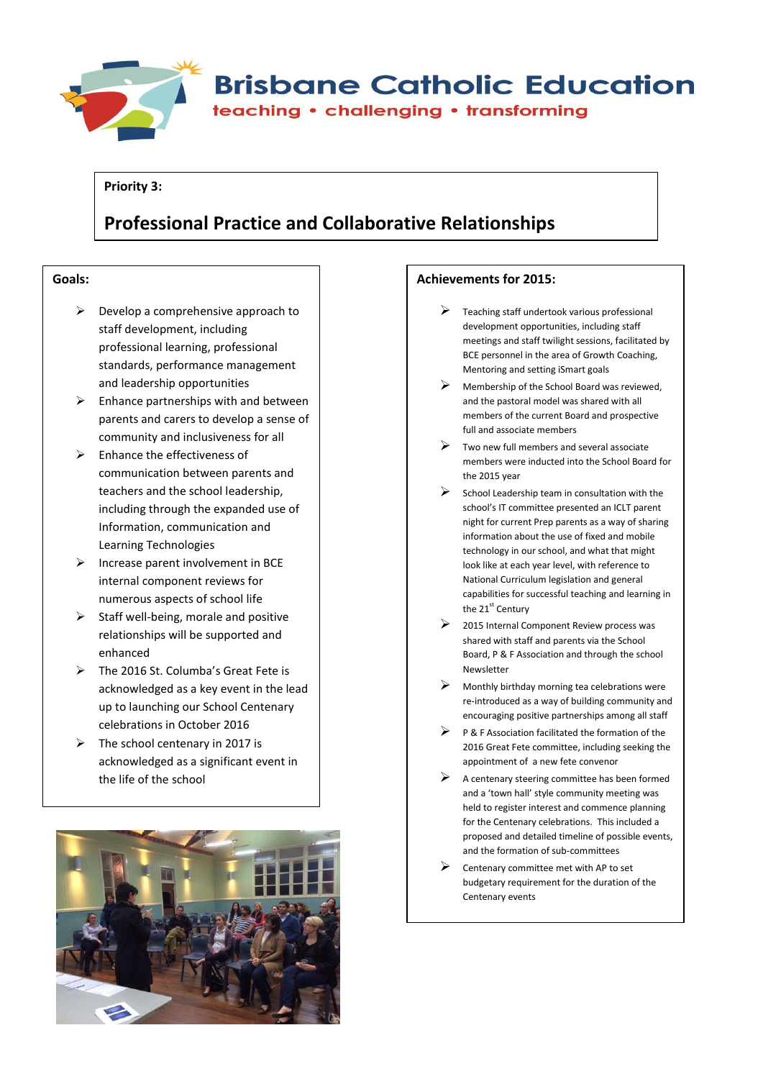

#### **Priority 3:**

# **Professional Practice and Collaborative Relationships**

#### **Goals:**

- $\triangleright$  Develop a comprehensive approach to staff development, including professional learning, professional standards, performance management and leadership opportunities
- $\triangleright$  Enhance partnerships with and between parents and carers to develop a sense of community and inclusiveness for all
- $\triangleright$  Enhance the effectiveness of communication between parents and teachers and the school leadership, including through the expanded use of Information, communication and Learning Technologies
- $\triangleright$  Increase parent involvement in BCE internal component reviews for numerous aspects of school life
- $\triangleright$  Staff well-being, morale and positive relationships will be supported and enhanced
- The 2016 St. Columba's Great Fete is acknowledged as a key event in the lead up to launching our School Centenary celebrations in October 2016
- $\triangleright$  The school centenary in 2017 is acknowledged as a significant event in the life of the school



#### **Achievements for 2015:**

- $\triangleright$  Teaching staff undertook various professional development opportunities, including staff meetings and staff twilight sessions, facilitated by BCE personnel in the area of Growth Coaching, Mentoring and setting iSmart goals
- Membership of the School Board was reviewed, and the pastoral model was shared with all members of the current Board and prospective full and associate members
- Two new full members and several associate members were inducted into the School Board for the 2015 year
- $\triangleright$  School Leadership team in consultation with the school's IT committee presented an ICLT parent night for current Prep parents as a way of sharing information about the use of fixed and mobile technology in our school, and what that might look like at each year level, with reference to National Curriculum legislation and general capabilities for successful teaching and learning in the 21<sup>st</sup> Century
- 2015 Internal Component Review process was shared with staff and parents via the School Board, P & F Association and through the school Newsletter
- Monthly birthday morning tea celebrations were re-introduced as a way of building community and encouraging positive partnerships among all staff
- $\triangleright$  P & F Association facilitated the formation of the 2016 Great Fete committee, including seeking the appointment of a new fete convenor
- $\triangleright$  A centenary steering committee has been formed and a 'town hall' style community meeting was held to register interest and commence planning for the Centenary celebrations. This included a proposed and detailed timeline of possible events, and the formation of sub-committees
- Centenary committee met with AP to set budgetary requirement for the duration of the Centenary events